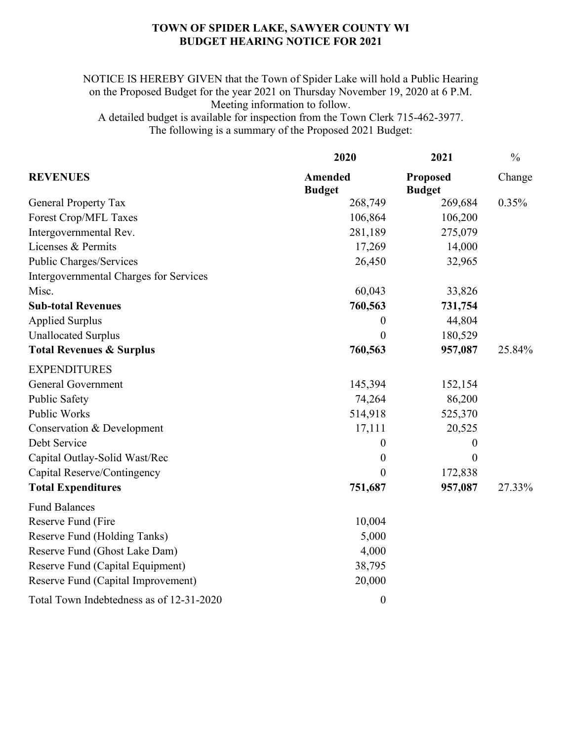## **TOWN OF SPIDER LAKE, SAWYER COUNTY WI BUDGET HEARING NOTICE FOR 2021**

NOTICE IS HEREBY GIVEN that the Town of Spider Lake will hold a Public Hearing on the Proposed Budget for the year 2021 on Thursday November 19, 2020 at 6 P.M. Meeting information to follow. A detailed budget is available for inspection from the Town Clerk 715-462-3977. The following is a summary of the Proposed 2021 Budget:

| <b>REVENUES</b>                          | 2020<br><b>Amended</b><br><b>Budget</b> | 2021<br><b>Proposed</b><br><b>Budget</b> | $\frac{0}{0}$<br>Change |
|------------------------------------------|-----------------------------------------|------------------------------------------|-------------------------|
|                                          |                                         |                                          |                         |
| Forest Crop/MFL Taxes                    | 106,864                                 | 106,200                                  |                         |
| Intergovernmental Rev.                   | 281,189                                 | 275,079                                  |                         |
| Licenses & Permits                       | 17,269                                  | 14,000                                   |                         |
| Public Charges/Services                  | 26,450                                  | 32,965                                   |                         |
| Intergovernmental Charges for Services   |                                         |                                          |                         |
| Misc.                                    | 60,043                                  | 33,826                                   |                         |
| <b>Sub-total Revenues</b>                | 760,563                                 | 731,754                                  |                         |
| <b>Applied Surplus</b>                   | $\boldsymbol{0}$                        | 44,804                                   |                         |
| <b>Unallocated Surplus</b>               | $\boldsymbol{0}$                        | 180,529                                  |                         |
| <b>Total Revenues &amp; Surplus</b>      | 760,563                                 | 957,087                                  | 25.84%                  |
| <b>EXPENDITURES</b>                      |                                         |                                          |                         |
| <b>General Government</b>                | 145,394                                 | 152,154                                  |                         |
| Public Safety                            | 74,264                                  | 86,200                                   |                         |
| Public Works                             | 514,918                                 | 525,370                                  |                         |
| Conservation & Development               | 17,111                                  | 20,525                                   |                         |
| Debt Service                             | $\boldsymbol{0}$                        | $\boldsymbol{0}$                         |                         |
| Capital Outlay-Solid Wast/Rec            | $\boldsymbol{0}$                        | $\boldsymbol{0}$                         |                         |
| Capital Reserve/Contingency              | $\theta$                                | 172,838                                  |                         |
| <b>Total Expenditures</b>                | 751,687                                 | 957,087                                  | 27.33%                  |
| <b>Fund Balances</b>                     |                                         |                                          |                         |
| Reserve Fund (Fire                       | 10,004                                  |                                          |                         |
| Reserve Fund (Holding Tanks)             | 5,000                                   |                                          |                         |
| Reserve Fund (Ghost Lake Dam)            | 4,000                                   |                                          |                         |
| Reserve Fund (Capital Equipment)         | 38,795                                  |                                          |                         |
| Reserve Fund (Capital Improvement)       | 20,000                                  |                                          |                         |
| Total Town Indebtedness as of 12-31-2020 | $\boldsymbol{0}$                        |                                          |                         |